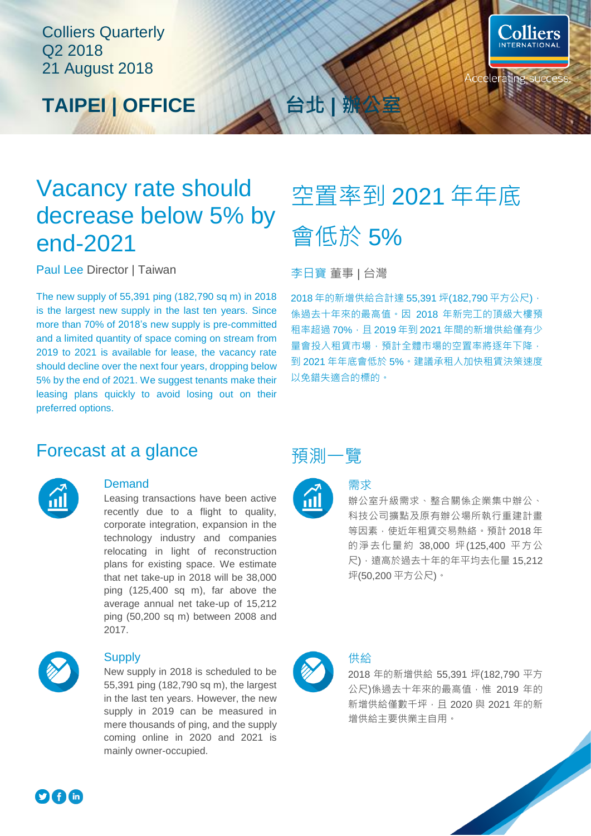### Colliers Quarterly Q2 2018 21 August 2018





### Vacancy rate should decrease below 5% by end-2021

Paul Lee Director | Taiwan 李日寶 董事 | 台灣

The new supply of 55,391 ping (182,790 sq m) in 2018 is the largest new supply in the last ten years. Since more than 70% of 2018's new supply is pre-committed and a limited quantity of space coming on stream from 2019 to 2021 is available for lease, the vacancy rate should decline over the next four years, dropping below 5% by the end of 2021. We suggest tenants make their leasing plans quickly to avoid losing out on their preferred options.

# 空置率到 2021 年年底 會低於 5%

2018年的新增供給合計達 55,391 坪(182,790 平方公尺), 係過去十年來的最高值。因 2018 年新完工的頂級大樓預 租率超過 70%, 且 2019年到 2021 年間的新增供給僅有少 量會投入租賃市場,預計全體市場的空置率將逐年下降, 到 2021 年年底會低於 5%。建議承租人加快租賃決策速度 以免錯失適合的標的。

### Forecast at a glance **和** 调制一覽



### **Demand**

Leasing transactions have been active recently due to a flight to quality, corporate integration, expansion in the technology industry and companies relocating in light of reconstruction plans for existing space. We estimate that net take-up in 2018 will be 38,000 ping (125,400 sq m), far above the average annual net take-up of 15,212 ping (50,200 sq m) between 2008 and 2017.



#### **Supply**

New supply in 2018 is scheduled to be 55,391 ping (182,790 sq m), the largest in the last ten years. However, the new supply in 2019 can be measured in mere thousands of ping, and the supply coming online in 2020 and 2021 is mainly owner-occupied.





### 需求

辦公室升級需求、整合關係企業集中辦公、 科技公司擴點及原有辦公場所執行重建計畫 等因素,使近年租賃交易熱絡。預計 2018 年 的淨去化量約 38,000 坪(125,400 平方公 尺),遠高於過去十年的年平均去化量 15,212 坪(50,200 平方公尺)。



### 供給

2018 年的新增供給 55,391 坪(182,790 平方 公尺)係過去十年來的最高值,惟 2019年的 新增供給僅數千坪,且 2020與 2021年的新 增供給主要供業主自用。

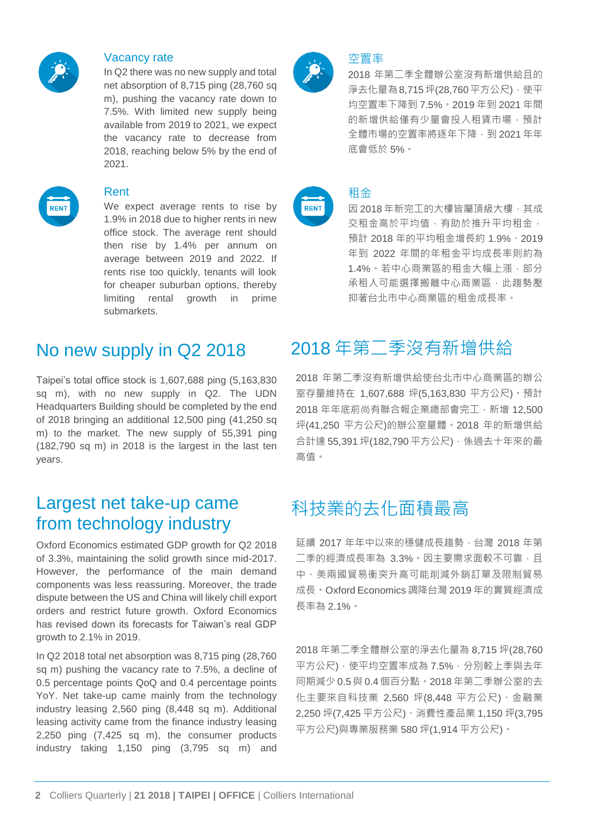

#### Vacancy rate

In Q2 there was no new supply and total net absorption of 8,715 ping (28,760 sq m), pushing the vacancy rate down to 7.5%. With limited new supply being available from 2019 to 2021, we expect the vacancy rate to decrease from 2018, reaching below 5% by the end of 2021.



#### Rent

We expect average rents to rise by 1.9% in 2018 due to higher rents in new office stock. The average rent should then rise by 1.4% per annum on average between 2019 and 2022. If rents rise too quickly, tenants will look for cheaper suburban options, thereby limiting rental growth in prime submarkets.

Taipei's total office stock is 1,607,688 ping (5,163,830 sq m), with no new supply in Q2. The UDN Headquarters Building should be completed by the end of 2018 bringing an additional 12,500 ping (41,250 sq m) to the market. The new supply of 55,391 ping (182,790 sq m) in 2018 is the largest in the last ten years.

### Largest net take-up came from technology industry

Oxford Economics estimated GDP growth for Q2 2018 of 3.3%, maintaining the solid growth since mid-2017. However, the performance of the main demand components was less reassuring. Moreover, the trade dispute between the US and China will likely chill export orders and restrict future growth. Oxford Economics has revised down its forecasts for Taiwan's real GDP growth to 2.1% in 2019.

In Q2 2018 total net absorption was 8,715 ping (28,760 sq m) pushing the vacancy rate to 7.5%, a decline of 0.5 percentage points QoQ and 0.4 percentage points YoY. Net take-up came mainly from the technology industry leasing 2,560 ping (8,448 sq m). Additional leasing activity came from the finance industry leasing 2,250 ping (7,425 sq m), the consumer products industry taking 1,150 ping (3,795 sq m) and



### 空置率

2018 年第二季全體辦公室沒有新增供給且的 淨去化量為8,715坪(28,760平方公尺),使平 均空置率下降到 7.5%。2019 年到 2021 年間 的新增供給僅有少量會投入租賃市場,預計 全體市場的空置率將逐年下降,到 2021 年年 底會低於 5%。



#### 租金

因 2018年新完工的大樓皆屬頂級大樓,其成 交租金高於平均值,有助於推升平均租金, 預計 2018 年的平均租金增長約 1.9%、2019 年到 2022 年間的年租金平均成長率則約為 1.4%。若中心商業區的租金大幅上漲,部分 承租人可能選擇搬離中心商業區,此趨勢壓 抑著台北市中心商業區的租金成長率。

### No new supply in Q2 2018 2018 年第二季沒有新增供給

2018 年第二季沒有新增供給使台北市中心商業區的辦公 室存量維持在 1,607,688 坪(5,163,830 平方公尺)。預計 2018 年年底前尚有聯合報企業總部會完工,新增 12,500 坪(41,250 平方公尺)的辦公室量體。2018 年的新增供給 合計達 55,391 坪(182,790 平方公尺), 係過去十年來的最 高值。

### 科技業的去化面積最高

延續 2017 年年中以來的穩健成長趨勢,台灣 2018 年第 二季的經濟成長率為 3.3% · 因主要需求面較不可靠, 且 中、美兩國貿易衝突升高可能削減外銷訂單及限制貿易 成長。Oxford Economics 調降台灣 2019 年的實質經濟成 長率為 2.1%。

2018 年第二季全體辦公室的淨去化量為 8,715 坪(28,760 平方公尺),使平均空置率成為 7.5%,分別較上季與去年 同期減少 0.5 與 0.4 個百分點。2018 年第二季辦公室的去 化主要來自科技業 2,560 坪(8,448 平方公尺)、金融業 2,250 坪(7,425 平方公尺)、消費性產品業 1,150 坪(3,795 平方公尺)與專業服務業 580 坪(1,914 平方公尺)。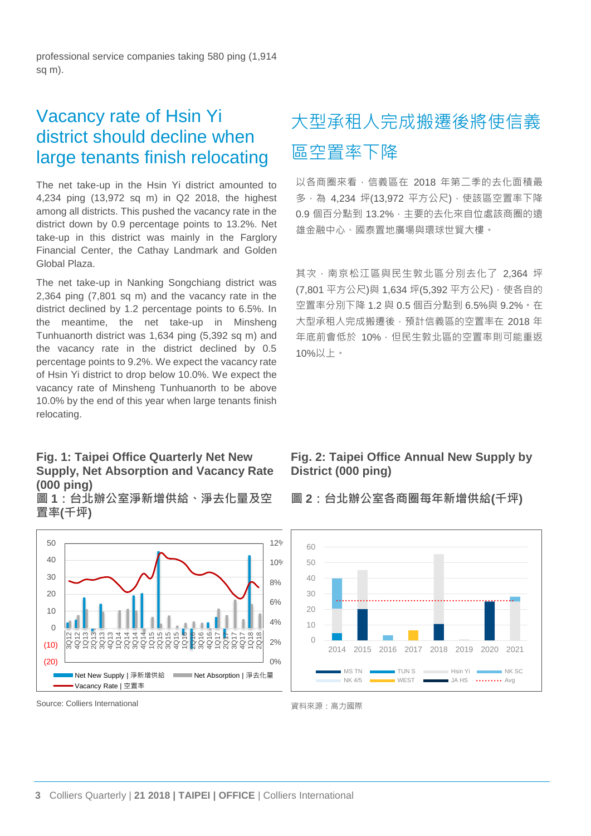professional service companies taking 580 ping (1,914 sq m).

### Vacancy rate of Hsin Yi district should decline when large tenants finish relocating

The net take-up in the Hsin Yi district amounted to 4,234 ping (13,972 sq m) in Q2 2018, the highest among all districts. This pushed the vacancy rate in the district down by 0.9 percentage points to 13.2%. Net take-up in this district was mainly in the Farglory Financial Center, the Cathay Landmark and Golden Global Plaza.

The net take-up in Nanking Songchiang district was 2,364 ping (7,801 sq m) and the vacancy rate in the district declined by 1.2 percentage points to 6.5%. In the meantime, the net take-up in Minsheng Tunhuanorth district was 1,634 ping (5,392 sq m) and the vacancy rate in the district declined by 0.5 percentage points to 9.2%. We expect the vacancy rate of Hsin Yi district to drop below 10.0%. We expect the vacancy rate of Minsheng Tunhuanorth to be above 10.0% by the end of this year when large tenants finish relocating.

#### **Fig. 1: Taipei Office Quarterly Net New Supply, Net Absorption and Vacancy Rate (000 ping)**

**圖 1:台北辦公室淨新增供給、淨去化量及空 置率(千坪)**



#### Source: Colliers International <br>
<a>
<a>
<a>
<a>
<a>
<a>
<a</a>
<a>
<a</a>
<a>
<a</a>
<a>
<a</a>
<a</a>
<a</a>
<a</a>
<a</a>
<a</a>
<a</a>
<a</a>
<a</a>
<a</a>
<a</a>
<a</a</a>
<a</a>
<a</a>
<a</a</a>
<a</a>
<a</a</a>
<a<

### 大型承租人完成搬遷後將使信義 區空置率下降

以各商圈來看,信義區在 2018 年第二季的去化面積最 多,為 4,234 坪(13,972 平方公尺), 使該區空置率下降 0.9 個百分點到 13.2%,主要的去化來自位處該商圈的遠 雄金融中心、國泰置地廣場與環球世貿大樓。

其次,南京松江區與民生敦北區分別去化了 2,364 坪 (7,801 平方公尺)與 1,634 坪(5,392 平方公尺), 使各自的 空置率分別下降 1.2 與 0.5 個百分點到 6.5%與 9.2%。在 大型承租人完成搬遷後,預計信義區的空置率在 2018 年 年底前會低於 10%,但民生敦北區的空置率則可能重返 10%以上。

### **Fig. 2: Taipei Office Annual New Supply by District (000 ping)**

**圖 2:台北辦公室各商圈每年新增供給(千坪)** 

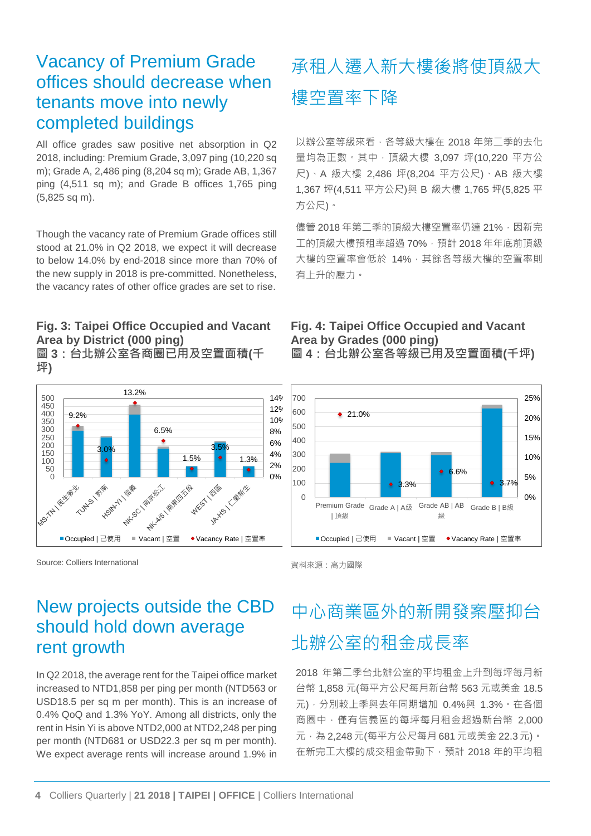### Vacancy of Premium Grade offices should decrease when tenants move into newly completed buildings

All office grades saw positive net absorption in Q2 2018, including: Premium Grade, 3,097 ping (10,220 sq m); Grade A, 2,486 ping (8,204 sq m); Grade AB, 1,367 ping (4,511 sq m); and Grade B offices 1,765 ping (5,825 sq m).

Though the vacancy rate of Premium Grade offices still stood at 21.0% in Q2 2018, we expect it will decrease to below 14.0% by end-2018 since more than 70% of the new supply in 2018 is pre-committed. Nonetheless, the vacancy rates of other office grades are set to rise.

### **Fig. 3: Taipei Office Occupied and Vacant Area by District (000 ping)**

**圖 3:台北辦公室各商圈已用及空置面積(千 坪)**



Source: Colliers International and the control of the control of the fact of the fact of the fact of the fact of the fact of the fact of the fact of the fact of the fact of the fact of the fact of the fact of the fact of

### New projects outside the CBD should hold down average rent growth

In Q2 2018, the average rent for the Taipei office market increased to NTD1,858 per ping per month (NTD563 or USD18.5 per sq m per month). This is an increase of 0.4% QoQ and 1.3% YoY. Among all districts, only the rent in Hsin Yi is above NTD2,000 at NTD2,248 per ping per month (NTD681 or USD22.3 per sq m per month). We expect average rents will increase around 1.9% in

### 承租人遷入新大樓後將使頂級大 樓空置率下降

以辦公室等級來看,各等級大樓在 2018年第二季的去化 量均為正數。其中,頂級大樓 3,097 坪(10,220 平方公 尺)、A 級大樓 2,486 坪(8,204 平方公尺)、AB 級大樓 1,367 坪(4,511 平方公尺)與 B 級大樓 1,765 坪(5,825 平 方公尺)。

儘管 2018年第二季的頂級大樓空置率仍達 21%,因新完 工的頂級大樓預租率超過70%,預計 2018年年底前頂級 大樓的空置率會低於 14%,其餘各等級大樓的空置率則 有上升的壓力。

#### **Fig. 4: Taipei Office Occupied and Vacant Area by Grades (000 ping) 圖 4:台北辦公室各等級已用及空置面積(千坪)**





## 中心商業區外的新開發案壓抑台 北辦公室的租金成長率

2018 年第二季台北辦公室的平均租金上升到每坪每月新 台幣 1,858 元(每平方公尺每月新台幣 563 元或美金 18.5 元),分別較上季與去年同期增加 0.4%與 1.3%。在各個 商圈中,僅有信義區的每坪每月租金超過新台幣 2,000 元,為 2,248 元(每平方公尺每月 681 元或美金 22.3 元)。 在新完工大樓的成交租金帶動下,預計 2018 年的平均租